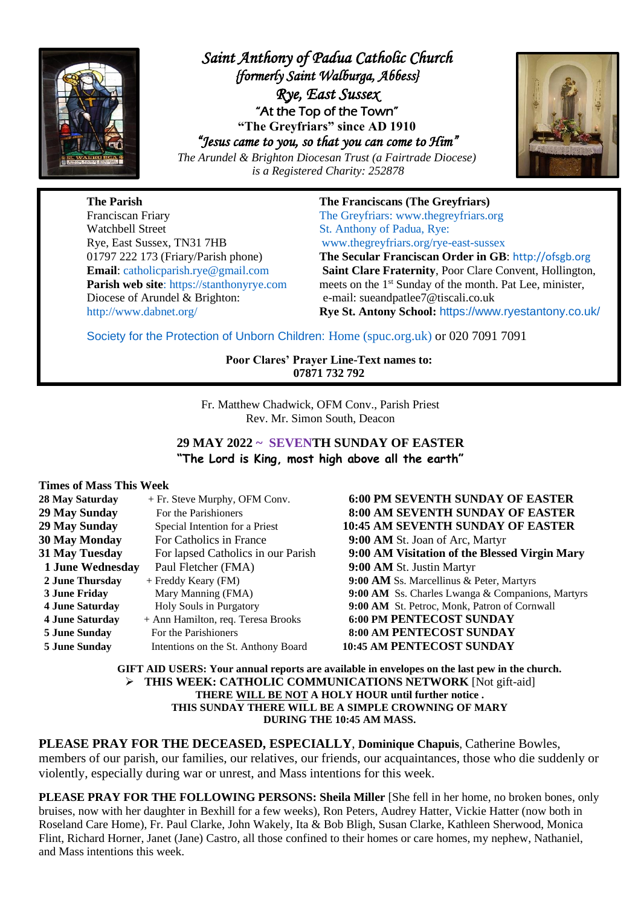

*Saint Anthony of Padua Catholic Church {formerly Saint Walburga, Abbess} Rye, East Sussex*  "At the Top of the Town" **"The Greyfriars" since AD 1910** *"Jesus came to you, so that you can come to Him"* 

*The Arundel & Brighton Diocesan Trust (a Fairtrade Diocese) is a Registered Charity: 252878*



**The Parish The Franciscans (The Greyfriars)** Franciscan Friary The Greyfriars: [www.thegreyfriars.org](http://www.thegreyfriars.org/) Watchbell Street St. Anthony of Padua, Rye: Rye, East Sussex, TN31 7HB [www.thegreyfriars.org/rye-east-sussex](http://www.thegreyfriars.org/rye-east-sussex) Diocese of Arundel & Brighton: e-mail: sueandpatlee7@tiscali.co.uk

01797 222 173 (Friary/Parish phone) **The Secular Franciscan Order in GB**: [http://ofsgb.org](http://ofsgb.org/) **Email**: [catholicparish.rye@gmail.com](mailto:catholicparish.rye@gmail.com) **Saint Clare Fraternity**, Poor Clare Convent, Hollington, **Parish web site**: https://stanthonyrye.com meets on the 1<sup>st</sup> Sunday of the month. Pat Lee, minister, <http://www.dabnet.org/> **Rye St. Antony School:** <https://www.ryestantony.co.uk/>

Society for the Protection of Unborn Children: [Home \(spuc.org.uk\)](https://www.spuc.org.uk/) or 020 7091 7091

**Poor Clares' Prayer Line-Text names to: 07871 732 792**

Fr. Matthew Chadwick, OFM Conv., Parish Priest Rev. Mr. Simon South, Deacon

**29 MAY 2022 ~ SEVENTH SUNDAY OF EASTER "The Lord is King, most high above all the earth"**

#### **Times of Mass This Week**

| 28 May Saturday         | + Fr. Steve Murphy, OFM Conv.       | 6:00 PM SEVENTH SUNDAY OF EASTER                 |
|-------------------------|-------------------------------------|--------------------------------------------------|
| 29 May Sunday           | For the Parishioners                | <b>8:00 AM SEVENTH SUNDAY OF EASTER</b>          |
| 29 May Sunday           | Special Intention for a Priest      | <b>10:45 AM SEVENTH SUNDAY OF EASTER</b>         |
| <b>30 May Monday</b>    | For Catholics in France             | 9:00 AM St. Joan of Arc, Martyr                  |
| <b>31 May Tuesday</b>   | For lapsed Catholics in our Parish  | 9:00 AM Visitation of the Blessed Virgin Mary    |
| <b>1 June Wednesday</b> | Paul Fletcher (FMA)                 | 9:00 AM St. Justin Martyr                        |
| 2 June Thursday         | + Freddy Keary (FM)                 | 9:00 AM Ss. Marcellinus & Peter, Martyrs         |
| 3 June Friday           | Mary Manning (FMA)                  | 9:00 AM Ss. Charles Lwanga & Companions, Martyrs |
| <b>4 June Saturday</b>  | Holy Souls in Purgatory             | 9:00 AM St. Petroc, Monk, Patron of Cornwall     |
| <b>4 June Saturday</b>  | + Ann Hamilton, req. Teresa Brooks  | <b>6:00 PM PENTECOST SUNDAY</b>                  |
| <b>5 June Sunday</b>    | For the Parishioners                | 8:00 AM PENTECOST SUNDAY                         |
| <b>5 June Sunday</b>    | Intentions on the St. Anthony Board | <b>10:45 AM PENTECOST SUNDAY</b>                 |

**GIFT AID USERS: Your annual reports are available in envelopes on the last pew in the church.** ➢ **THIS WEEK: CATHOLIC COMMUNICATIONS NETWORK** [Not gift-aid] **THERE WILL BE NOT A HOLY HOUR until further notice . THIS SUNDAY THERE WILL BE A SIMPLE CROWNING OF MARY DURING THE 10:45 AM MASS.**

**PLEASE PRAY FOR THE DECEASED, ESPECIALLY**, **Dominique Chapuis**, Catherine Bowles, members of our parish, our families, our relatives, our friends, our acquaintances, those who die suddenly or violently, especially during war or unrest, and Mass intentions for this week.

**PLEASE PRAY FOR THE FOLLOWING PERSONS: Sheila Miller** [She fell in her home, no broken bones, only bruises, now with her daughter in Bexhill for a few weeks), Ron Peters, Audrey Hatter, Vickie Hatter (now both in Roseland Care Home), Fr. Paul Clarke, John Wakely, Ita & Bob Bligh, Susan Clarke, Kathleen Sherwood, Monica Flint, Richard Horner, Janet (Jane) Castro, all those confined to their homes or care homes, my nephew, Nathaniel, and Mass intentions this week.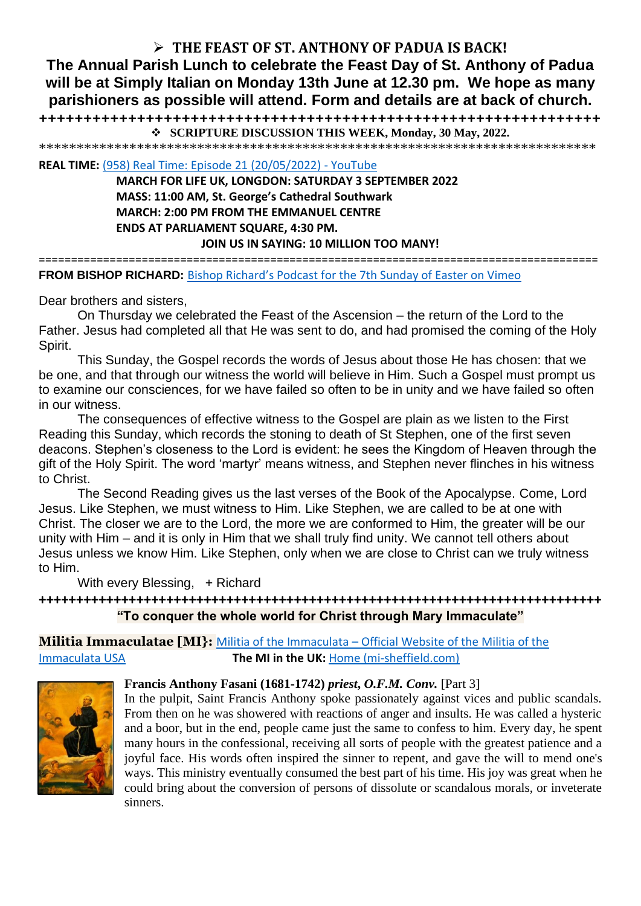# ➢ **THE FEAST OF ST. ANTHONY OF PADUA IS BACK!**

**The Annual Parish Lunch to celebrate the Feast Day of St. Anthony of Padua will be at Simply Italian on Monday 13th June at 12.30 pm. We hope as many parishioners as possible will attend. Form and details are at back of church.**

**+++++++++++++++++++++++++++++++++++++++++++++++++++++++++++++++** ❖ **SCRIPTURE DISCUSSION THIS WEEK, Monday, 30 May, 2022.**

\*\*\*\*\*\*\*\*\*\*\*\*\*\*\*\*\*\*\*\*\*\*\*\*\*\*\*\*\*\*\*\*\*\*\*\*\*\*\*\*\*\*\*\*\*\*\*\*\*\*\*\*\*\*\*\*\*\*\*\*\*\*\*\*\*\*\*\*\*\*\*\*\*\*

**REAL TIME:** [\(958\) Real Time: Episode 21 \(20/05/2022\) -](https://www.youtube.com/watch?v=MgrDA3eOxMw) YouTube

**MARCH FOR LIFE UK, LONGDON: SATURDAY 3 SEPTEMBER 2022 MASS: 11:00 AM, St. George's Cathedral Southwark MARCH: 2:00 PM FROM THE EMMANUEL CENTRE ENDS AT PARLIAMENT SQUARE, 4:30 PM.**

**JOIN US IN SAYING: 10 MILLION TOO MANY!**

=======================================================================================

**FROM BISHOP RICHARD:** [Bishop Richard's Podcast for the 7th Sunday of Easter on Vimeo](https://vimeo.com/714063918?ct=t(EMAIL_CAMPAIGN_2_17_2022_14_56_COPY_02)&mc_cid=aa15d5d675&mc_eid=b72a3215d2)

Dear brothers and sisters,

On Thursday we celebrated the Feast of the Ascension – the return of the Lord to the Father. Jesus had completed all that He was sent to do, and had promised the coming of the Holy Spirit.

This Sunday, the Gospel records the words of Jesus about those He has chosen: that we be one, and that through our witness the world will believe in Him. Such a Gospel must prompt us to examine our consciences, for we have failed so often to be in unity and we have failed so often in our witness.

The consequences of effective witness to the Gospel are plain as we listen to the First Reading this Sunday, which records the stoning to death of St Stephen, one of the first seven deacons. Stephen's closeness to the Lord is evident: he sees the Kingdom of Heaven through the gift of the Holy Spirit. The word 'martyr' means witness, and Stephen never flinches in his witness to Christ.

The Second Reading gives us the last verses of the Book of the Apocalypse. Come, Lord Jesus. Like Stephen, we must witness to Him. Like Stephen, we are called to be at one with Christ. The closer we are to the Lord, the more we are conformed to Him, the greater will be our unity with Him – and it is only in Him that we shall truly find unity. We cannot tell others about Jesus unless we know Him. Like Stephen, only when we are close to Christ can we truly witness to Him.

With every Blessing, + Richard

**+++++++++++++++++++++++++++++++++++++++++++++++++++++++++++++++++++++++++++ "To conquer the whole world for Christ through Mary Immaculate"**

**Militia Immaculatae [MI}:** Militia of the Immaculata – [Official Website of the Militia of the](https://militiaoftheimmaculata.com/)  [Immaculata USA](https://militiaoftheimmaculata.com/) **The MI in the UK:** [Home \(mi-sheffield.com\)](https://www.mi-sheffield.com/)



## **Francis Anthony Fasani (1681-1742)** *priest***,** *O.F.M. Conv.* [Part 3]

In the pulpit, Saint Francis Anthony spoke passionately against vices and public scandals. From then on he was showered with reactions of anger and insults. He was called a hysteric and a boor, but in the end, people came just the same to confess to him. Every day, he spent many hours in the confessional, receiving all sorts of people with the greatest patience and a joyful face. His words often inspired the sinner to repent, and gave the will to mend one's ways. This ministry eventually consumed the best part of his time. His joy was great when he could bring about the conversion of persons of dissolute or scandalous morals, or inveterate sinners.